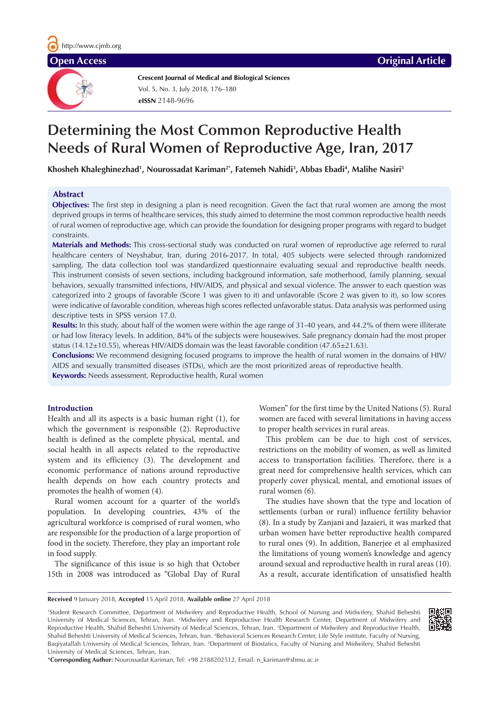**Crescent Journal of Medical and Biological Sciences eISSN** 2148-9696 Vol. 5, No. 3, July 2018, 176–180

# **Determining the Most Common Reproductive Health Needs of Rural Women of Reproductive Age, Iran, 2017**

**Khosheh Khaleghinezhad1 , Nourossadat Kariman2\*, Fatemeh Nahidi3 , Abbas Ebadi4 , Malihe Nasiri5**

# **Abstract**

**Objectives:** The first step in designing a plan is need recognition. Given the fact that rural women are among the most deprived groups in terms of healthcare services, this study aimed to determine the most common reproductive health needs of rural women of reproductive age, which can provide the foundation for designing proper programs with regard to budget constraints.

**Materials and Methods:** This cross-sectional study was conducted on rural women of reproductive age referred to rural healthcare centers of Neyshabur, Iran, during 2016-2017. In total, 405 subjects were selected through randomized sampling. The data collection tool was standardized questionnaire evaluating sexual and reproductive health needs. This instrument consists of seven sections, including background information, safe motherhood, family planning, sexual behaviors, sexually transmitted infections, HIV/AIDS, and physical and sexual violence. The answer to each question was categorized into 2 groups of favorable (Score 1 was given to it) and unfavorable (Score 2 was given to it), so low scores were indicative of favorable condition, whereas high scores reflected unfavorable status. Data analysis was performed using descriptive tests in SPSS version 17.0.

**Results:** In this study, about half of the women were within the age range of 31-40 years, and 44.2% of them were illiterate or had low literacy levels. In addition, 84% of the subjects were housewives. Safe pregnancy domain had the most proper status (14.12±10.55), whereas HIV/AIDS domain was the least favorable condition (47.65±21.63).

**Conclusions:** We recommend designing focused programs to improve the health of rural women in the domains of HIV/ AIDS and sexually transmitted diseases (STDs), which are the most prioritized areas of reproductive health.

**Keywords:** Needs assessment, Reproductive health, Rural women

### **Introduction**

Health and all its aspects is a basic human right (1), for which the government is responsible (2). Reproductive health is defined as the complete physical, mental, and social health in all aspects related to the reproductive system and its efficiency (3). The development and economic performance of nations around reproductive health depends on how each country protects and promotes the health of women (4).

Rural women account for a quarter of the world's population. In developing countries, 43% of the agricultural workforce is comprised of rural women, who are responsible for the production of a large proportion of food in the society. Therefore, they play an important role in food supply.

The significance of this issue is so high that October 15th in 2008 was introduced as "Global Day of Rural

Women" for the first time by the United Nations (5). Rural women are faced with several limitations in having access to proper health services in rural areas.

This problem can be due to high cost of services, restrictions on the mobility of women, as well as limited access to transportation facilities. Therefore, there is a great need for comprehensive health services, which can properly cover physical, mental, and emotional issues of rural women (6).

The studies have shown that the type and location of settlements (urban or rural) influence fertility behavior (8). In a study by Zanjani and Jazaieri, it was marked that urban women have better reproductive health compared to rural ones (9). In addition, Banerjee et al emphasized the limitations of young women's knowledge and agency around sexual and reproductive health in rural areas (10). As a result, accurate identification of unsatisfied health

**Received** 9 January 2018, **Accepted** 15 April 2018, **Available online** 27 April 2018

1 Student Research Committee, Department of Midwifery and Reproductive Health, School of Nursing and Midwifery, Shahid Beheshti University of Medical Sciences, Tehran, Iran. <sup>2</sup>Midwifery and Reproductive Health Research Center, Department of Midwifery and Reproductive Health, Shahid Beheshti University of Medical Sciences, Tehran, Iran. 3 Department of Midwifery and Reproductive Health, Shahid Beheshti University of Medical Sciences, Tehran, Iran. 4 Behavioral Sciences Research Center, Life Style institute, Faculty of Nursing, Baqiyatallah University of Medical Sciences, Tehran, Iran. <sup>5</sup>Department of Biostatics, Faculty of Nursing and Midwifery, Shahid Beheshti University of Medical Sciences, Tehran, Iran.

\***Corresponding Author:** Nourossadat Kariman, Tel: +98 2188202512, Email: n\_kariman@sbmu.ac.ir

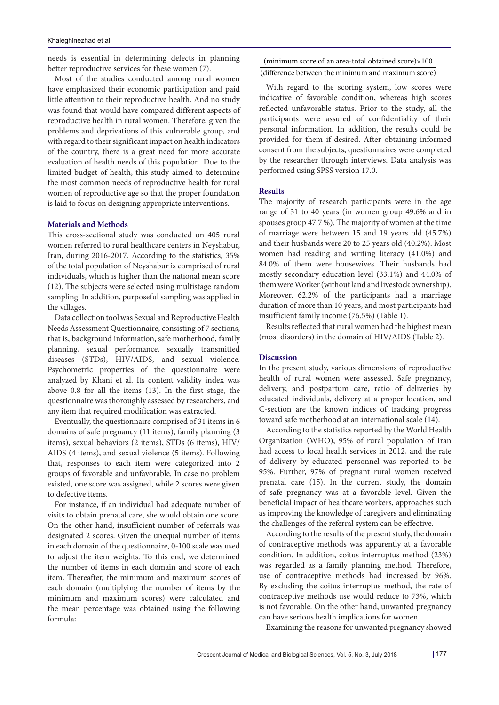needs is essential in determining defects in planning better reproductive services for these women (7).

Most of the studies conducted among rural women have emphasized their economic participation and paid little attention to their reproductive health. And no study was found that would have compared different aspects of reproductive health in rural women. Therefore, given the problems and deprivations of this vulnerable group, and with regard to their significant impact on health indicators of the country, there is a great need for more accurate evaluation of health needs of this population. Due to the limited budget of health, this study aimed to determine the most common needs of reproductive health for rural women of reproductive age so that the proper foundation is laid to focus on designing appropriate interventions.

# **Materials and Methods**

This cross-sectional study was conducted on 405 rural women referred to rural healthcare centers in Neyshabur, Iran, during 2016-2017. According to the statistics, 35% of the total population of Neyshabur is comprised of rural individuals, which is higher than the national mean score (12). The subjects were selected using multistage random sampling. In addition, purposeful sampling was applied in the villages.

Data collection tool was Sexual and Reproductive Health Needs Assessment Questionnaire, consisting of 7 sections, that is, background information, safe motherhood, family planning, sexual performance, sexually transmitted diseases (STDs), HIV/AIDS, and sexual violence. Psychometric properties of the questionnaire were analyzed by Khani et al. Its content validity index was above 0.8 for all the items (13). In the first stage, the questionnaire was thoroughly assessed by researchers, and any item that required modification was extracted.

Eventually, the questionnaire comprised of 31 items in 6 domains of safe pregnancy (11 items), family planning (3 items), sexual behaviors (2 items), STDs (6 items), HIV/ AIDS (4 items), and sexual violence (5 items). Following that, responses to each item were categorized into 2 groups of favorable and unfavorable. In case no problem existed, one score was assigned, while 2 scores were given to defective items.

For instance, if an individual had adequate number of visits to obtain prenatal care, she would obtain one score. On the other hand, insufficient number of referrals was designated 2 scores. Given the unequal number of items in each domain of the questionnaire, 0-100 scale was used to adjust the item weights. To this end, we determined the number of items in each domain and score of each item. Thereafter, the minimum and maximum scores of each domain (multiplying the number of items by the minimum and maximum scores) were calculated and the mean percentage was obtained using the following formula:

(minimum score of an area-total obtained score)×100 (difference between the minimum and maximum score)

With regard to the scoring system, low scores were indicative of favorable condition, whereas high scores reflected unfavorable status. Prior to the study, all the participants were assured of confidentiality of their personal information. In addition, the results could be provided for them if desired. After obtaining informed consent from the subjects, questionnaires were completed by the researcher through interviews. Data analysis was performed using SPSS version 17.0.

#### **Results**

The majority of research participants were in the age range of 31 to 40 years (in women group 49.6% and in spouses group 47.7 %). The majority of women at the time of marriage were between 15 and 19 years old (45.7%) and their husbands were 20 to 25 years old (40.2%). Most women had reading and writing literacy (41.0%) and 84.0% of them were housewives. Their husbands had mostly secondary education level (33.1%) and 44.0% of them were Worker (without land and livestock ownership). Moreover, 62.2% of the participants had a marriage duration of more than 10 years, and most participants had insufficient family income (76.5%) (Table 1).

Results reflected that rural women had the highest mean (most disorders) in the domain of HIV/AIDS (Table 2).

# **Discussion**

In the present study, various dimensions of reproductive health of rural women were assessed. Safe pregnancy, delivery, and postpartum care, ratio of deliveries by educated individuals, delivery at a proper location, and C-section are the known indices of tracking progress toward safe motherhood at an international scale (14).

According to the statistics reported by the World Health Organization (WHO), 95% of rural population of Iran had access to local health services in 2012, and the rate of delivery by educated personnel was reported to be 95%. Further, 97% of pregnant rural women received prenatal care (15). In the current study, the domain of safe pregnancy was at a favorable level. Given the beneficial impact of healthcare workers, approaches such as improving the knowledge of caregivers and eliminating the challenges of the referral system can be effective.

According to the results of the present study, the domain of contraceptive methods was apparently at a favorable condition. In addition, coitus interruptus method (23%) was regarded as a family planning method. Therefore, use of contraceptive methods had increased by 96%. By excluding the coitus interruptus method, the rate of contraceptive methods use would reduce to 73%, which is not favorable. On the other hand, unwanted pregnancy can have serious health implications for women.

Examining the reasons for unwanted pregnancy showed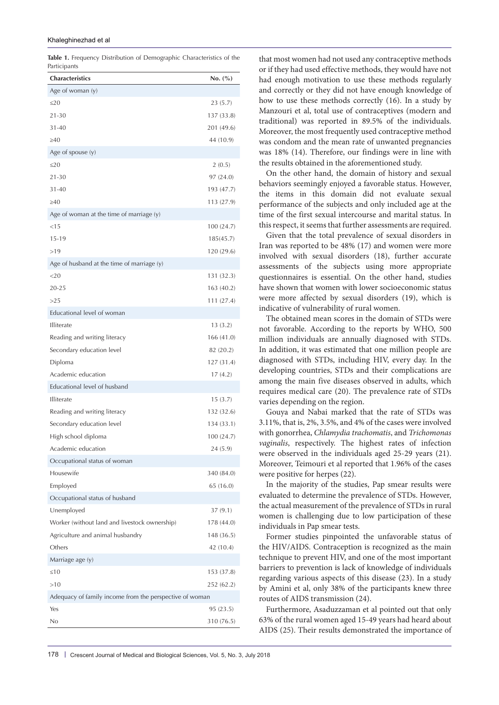| <b>Table 1.</b> Frequency Distribution of Demographic Characteristics of the |  |  |
|------------------------------------------------------------------------------|--|--|
| Participants                                                                 |  |  |

| <b>Characteristics</b>                                  | No. (%)    |  |  |  |  |  |
|---------------------------------------------------------|------------|--|--|--|--|--|
| Age of woman (y)                                        |            |  |  |  |  |  |
| ≤20                                                     | 23(5.7)    |  |  |  |  |  |
| 21-30                                                   | 137 (33.8) |  |  |  |  |  |
| 31-40                                                   | 201 (49.6) |  |  |  |  |  |
| ≥40                                                     | 44 (10.9)  |  |  |  |  |  |
| Age of spouse (y)                                       |            |  |  |  |  |  |
| $\leq$ 20                                               | 2(0.5)     |  |  |  |  |  |
| $21 - 30$                                               | 97 (24.0)  |  |  |  |  |  |
| $31 - 40$                                               | 193 (47.7) |  |  |  |  |  |
| >40                                                     | 113 (27.9) |  |  |  |  |  |
| Age of woman at the time of marriage (y)                |            |  |  |  |  |  |
| $<$ 15                                                  | 100 (24.7) |  |  |  |  |  |
| $15 - 19$                                               | 185(45.7)  |  |  |  |  |  |
| >19                                                     | 120 (29.6) |  |  |  |  |  |
| Age of husband at the time of marriage (y)              |            |  |  |  |  |  |
| 20                                                      | 131 (32.3) |  |  |  |  |  |
| 20-25                                                   | 163 (40.2) |  |  |  |  |  |
| >25                                                     | 111 (27.4) |  |  |  |  |  |
| Educational level of woman                              |            |  |  |  |  |  |
| Illiterate                                              | 13(3.2)    |  |  |  |  |  |
| Reading and writing literacy                            | 166 (41.0) |  |  |  |  |  |
| Secondary education level                               | 82 (20.2)  |  |  |  |  |  |
| Diploma                                                 | 127 (31.4) |  |  |  |  |  |
| Academic education                                      | 17(4.2)    |  |  |  |  |  |
| Educational level of husband                            |            |  |  |  |  |  |
| <b>Illiterate</b>                                       | 15(3.7)    |  |  |  |  |  |
| Reading and writing literacy                            | 132 (32.6) |  |  |  |  |  |
| Secondary education level                               | 134 (33.1) |  |  |  |  |  |
| High school diploma                                     | 100 (24.7) |  |  |  |  |  |
| Academic education                                      | 24 (5.9)   |  |  |  |  |  |
| Occupational status of woman                            |            |  |  |  |  |  |
| Housewife                                               | 340 (84.0) |  |  |  |  |  |
| Employed                                                | 65 (16.0)  |  |  |  |  |  |
| Occupational status of husband                          |            |  |  |  |  |  |
| Unemployed                                              | 37(9.1)    |  |  |  |  |  |
| Worker (without land and livestock ownership)           | 178 (44.0) |  |  |  |  |  |
| Agriculture and animal husbandry                        | 148 (36.5) |  |  |  |  |  |
| Others                                                  | 42 (10.4)  |  |  |  |  |  |
| Marriage age (y)                                        |            |  |  |  |  |  |
| $\leq 10$                                               | 153 (37.8) |  |  |  |  |  |
| >10                                                     | 252 (62.2) |  |  |  |  |  |
| Adequacy of family income from the perspective of woman |            |  |  |  |  |  |
| Yes                                                     | 95 (23.5)  |  |  |  |  |  |
| No                                                      | 310 (76.5) |  |  |  |  |  |

that most women had not used any contraceptive methods or if they had used effective methods, they would have not had enough motivation to use these methods regularly and correctly or they did not have enough knowledge of how to use these methods correctly (16). In a study by Manzouri et al, total use of contraceptives (modern and traditional) was reported in 89.5% of the individuals. Moreover, the most frequently used contraceptive method was condom and the mean rate of unwanted pregnancies was 18% (14). Therefore, our findings were in line with the results obtained in the aforementioned study.

On the other hand, the domain of history and sexual behaviors seemingly enjoyed a favorable status. However, the items in this domain did not evaluate sexual performance of the subjects and only included age at the time of the first sexual intercourse and marital status. In this respect, it seems that further assessments are required.

Given that the total prevalence of sexual disorders in Iran was reported to be 48% (17) and women were more involved with sexual disorders (18), further accurate assessments of the subjects using more appropriate questionnaires is essential. On the other hand, studies have shown that women with lower socioeconomic status were more affected by sexual disorders (19), which is indicative of vulnerability of rural women.

The obtained mean scores in the domain of STDs were not favorable. According to the reports by WHO, 500 million individuals are annually diagnosed with STDs. In addition, it was estimated that one million people are diagnosed with STDs, including HIV, every day. In the developing countries, STDs and their complications are among the main five diseases observed in adults, which requires medical care (20). The prevalence rate of STDs varies depending on the region.

Gouya and Nabai marked that the rate of STDs was 3.11%, that is, 2%, 3.5%, and 4% of the cases were involved with gonorrhea, *Chlamydia trachomatis*, and *Trichomonas vaginalis*, respectively. The highest rates of infection were observed in the individuals aged 25-29 years (21). Moreover, Teimouri et al reported that 1.96% of the cases were positive for herpes (22).

In the majority of the studies, Pap smear results were evaluated to determine the prevalence of STDs. However, the actual measurement of the prevalence of STDs in rural women is challenging due to low participation of these individuals in Pap smear tests.

Former studies pinpointed the unfavorable status of the HIV/AIDS. Contraception is recognized as the main technique to prevent HIV, and one of the most important barriers to prevention is lack of knowledge of individuals regarding various aspects of this disease (23). In a study by Amini et al, only 38% of the participants knew three routes of AIDS transmission (24).

Furthermore, Asaduzzaman et al pointed out that only 63% of the rural women aged 15-49 years had heard about AIDS (25). Their results demonstrated the importance of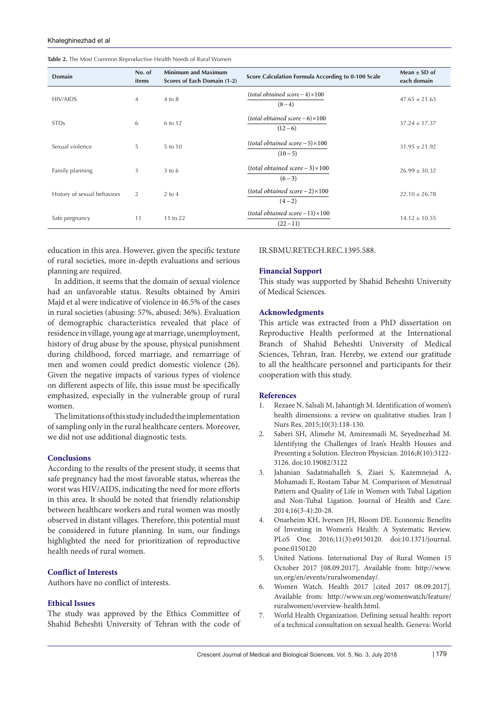| <b>Domain</b>               | No. of<br>items | <b>Minimum and Maximum</b><br>Scores of Each Domain (1-2) | Score Calculation Formula According to 0-100 Scale  | Mean $\pm$ SD of<br>each domain |
|-----------------------------|-----------------|-----------------------------------------------------------|-----------------------------------------------------|---------------------------------|
| <b>HIV/AIDS</b>             | 4               | $4$ to $8$                                                | $(total obtained score - 4) \times 100$<br>$(8-4)$  | $47.65 \pm 21.63$               |
| <b>STDs</b>                 | 6               | 6 to 12                                                   | $(total obtained score - 6) \times 100$<br>$(12-6)$ | $37.24 \pm 17.37$               |
| Sexual violence             | 5               | 5 to 10                                                   | $(total obtained score - 5) \times 100$<br>$(10-5)$ | $31.95 \pm 21.92$               |
| Family planning             | 3               | $3$ to 6                                                  | $(total obtained score - 3) \times 100$<br>$(6-3)$  | $26.99 \pm 30.32$               |
| History of sexual behaviors | 2               | $2$ to $4$                                                | $(total obtained score - 2) \times 100$<br>$(4-2)$  | $22.10 \pm 26.78$               |
| Safe pregnancy              | 11              | 11 to 22                                                  | $(total obtained score-11) \times 100$<br>$(22-11)$ | $14.12 \pm 10.55$               |

**Table 2.** The Most Common Reproductive Health Needs of Rural Women

education in this area. However, given the specific texture of rural societies, more in-depth evaluations and serious planning are required.

In addition, it seems that the domain of sexual violence had an unfavorable status. Results obtained by Amiri Majd et al were indicative of violence in 46.5% of the cases in rural societies (abusing: 57%, abused: 36%). Evaluation of demographic characteristics revealed that place of residence in village, young age at marriage, unemployment, history of drug abuse by the spouse, physical punishment during childhood, forced marriage, and remarriage of men and women could predict domestic violence (26). Given the negative impacts of various types of violence on different aspects of life, this issue must be specifically emphasized, especially in the vulnerable group of rural women.

The limitations of this study included the implementation of sampling only in the rural healthcare centers. Moreover, we did not use additional diagnostic tests.

### **Conclusions**

According to the results of the present study, it seems that safe pregnancy had the most favorable status, whereas the worst was HIV/AIDS, indicating the need for more efforts in this area. It should be noted that friendly relationship between healthcare workers and rural women was mostly observed in distant villages. Therefore, this potential must be considered in future planning. In sum, our findings highlighted the need for prioritization of reproductive health needs of rural women.

# **Conflict of Interests**

Authors have no conflict of interests.

#### **Ethical Issues**

The study was approved by the Ethics Committee of Shahid Beheshti University of Tehran with the code of

# IR.SBMU.RETECH.REC.1395.588.

# **Financial Support**

This study was supported by Shahid Beheshti University of Medical Sciences.

### **Acknowledgments**

This article was extracted from a PhD dissertation on Reproductive Health performed at the International Branch of Shahid Beheshti University of Medical Sciences, Tehran, Iran. Hereby, we extend our gratitude to all the healthcare personnel and participants for their cooperation with this study.

#### **References**

- 1. Rezaee N, Salsali M, Jahantigh M. Identification of women's health dimensions: a review on qualitative studies. Iran J Nurs Res. 2015;10(3):118-130.
- 2. Saberi SH, Alimehr M, Amiresmaili M, Seyednezhad M. Identifying the Challenges of Iran's Health Houses and Presenting a Solution. Electron Physician. 2016;8(10):3122- 3126. doi:10.19082/3122
- 3. Jahanian Sadatmahalleh S, Ziaei S, Kazemnejad A, Mohamadi E, Rostam Tabar M. Comparison of Menstrual Pattern and Quality of Life in Women with Tubal Ligation and Non-Tubal Ligation. Journal of Health and Care. 2014;16(3-4):20-28.
- 4. Onarheim KH, Iversen JH, Bloom DE. Economic Benefits of Investing in Women's Health: A Systematic Review. PLoS One. 2016;11(3):e0150120. doi:10.1371/journal. pone.0150120
- 5. United Nations. International Day of Rural Women 15 October 2017 [08.09.2017]. Available from: http://www. un.org/en/events/ruralwomenday/.
- 6. Women Watch. Health 2017 [cited 2017 08.09.2017]. Available from: http://www.un.org/womenwatch/feature/ ruralwomen/overview-health.html.
- 7. World Health Organization. Defining sexual health: report of a technical consultation on sexual health. Geneva: World